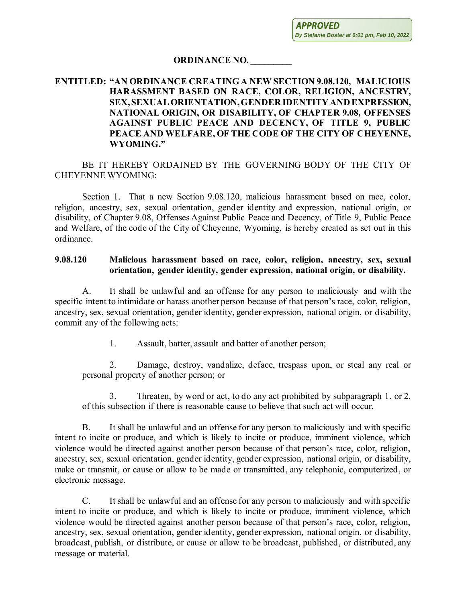## **ORDINANCE NO. \_\_\_\_\_\_\_\_\_**

## **ENTITLED: "AN ORDINANCE CREATING A NEW SECTION 9.08.120, MALICIOUS HARASSMENT BASED ON RACE, COLOR, RELIGION, ANCESTRY, SEX, SEXUAL ORIENTATION, GENDER IDENTITY AND EXPRESSION, NATIONAL ORIGIN, OR DISABILITY, OF CHAPTER 9.08, OFFENSES AGAINST PUBLIC PEACE AND DECENCY, OF TITLE 9, PUBLIC PEACE AND WELFARE, OF THE CODE OF THE CITY OF CHEYENNE, WYOMING."**

BE IT HEREBY ORDAINED BY THE GOVERNING BODY OF THE CITY OF CHEYENNE WYOMING:

Section 1. That a new Section 9.08.120, malicious harassment based on race, color, religion, ancestry, sex, sexual orientation, gender identity and expression, national origin, or disability, of Chapter 9.08, Offenses Against Public Peace and Decency, of Title 9, Public Peace and Welfare, of the code of the City of Cheyenne, Wyoming, is hereby created as set out in this ordinance.

## **9.08.120 Malicious harassment based on race, color, religion, ancestry, sex, sexual orientation, gender identity, gender expression, national origin, or disability.**

A. It shall be unlawful and an offense for any person to maliciously and with the specific intent to intimidate or harass another person because of that person's race, color, religion, ancestry, sex, sexual orientation, gender identity, gender expression, national origin, or disability, commit any of the following acts:

1. Assault, batter, assault and batter of another person;

2. Damage, destroy, vandalize, deface, trespass upon, or steal any real or personal property of another person; or

3. Threaten, by word or act, to do any act prohibited by subparagraph 1. or 2. of this subsection if there is reasonable cause to believe that such act will occur.

B. It shall be unlawful and an offense for any person to maliciously and with specific intent to incite or produce, and which is likely to incite or produce, imminent violence, which violence would be directed against another person because of that person's race, color, religion, ancestry, sex, sexual orientation, gender identity, gender expression, national origin, or disability, make or transmit, or cause or allow to be made or transmitted, any telephonic, computerized, or electronic message.

C. It shall be unlawful and an offense for any person to maliciously and with specific intent to incite or produce, and which is likely to incite or produce, imminent violence, which violence would be directed against another person because of that person's race, color, religion, ancestry, sex, sexual orientation, gender identity, gender expression, national origin, or disability, broadcast, publish, or distribute, or cause or allow to be broadcast, published, or distributed, any message or material.